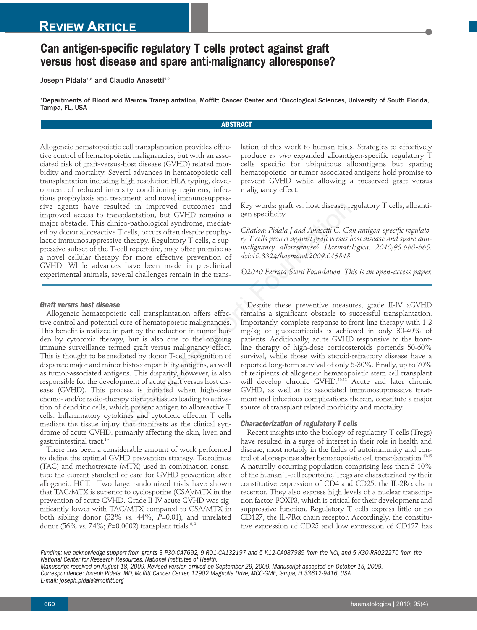# **REVIEW ARTICLE**

## **Can antigen-specific regulatory T cells protect against graft versus host disease and spare anti-malignancy alloresponse?**

Joseph Pidala<sup>1,2</sup> and Claudio Anasetti<sup>1,2</sup>

1 Departments of Blood and Marrow Transplantation, Moffitt Cancer Center and 2 Oncological Sciences, University of South Florida, Tampa, FL, USA

## **ABSTRACT**

Allogeneic hematopoietic cell transplantation provides effective control of hematopoietic malignancies, but with an associated risk of graft-versus-host disease (GVHD) related morbidity and mortality. Several advances in hematopoietic cell transplantation including high resolution HLA typing, development of reduced intensity conditioning regimens, infectious prophylaxis and treatment, and novel immunosuppressive agents have resulted in improved outcomes and improved access to transplantation, but GVHD remains a major obstacle. This clinico-pathological syndrome, mediated by donor alloreactive T cells, occurs often despite prophylactic immunosuppressive therapy. Regulatory T cells, a suppressive subset of the T-cell repertoire, may offer promise as a novel cellular therapy for more effective prevention of GVHD. While advances have been made in pre-clinical experimental animals, several challenges remain in the trans-

lation of this work to human trials. Strategies to effectively produce *ex vivo* expanded alloantigen-specific regulatory T cells specific for ubiquitous alloantigens but sparing hematopoietic- or tumor-associated antigens hold promise to prevent GVHD while allowing a preserved graft versus malignancy effect.

Key words: graft vs. host disease, regulatory T cells, alloantigen specificity.

*Citation: Pidala J and Anasetti C. Can antigen-specific regulatory T cells protect against graft versus host disease and spare antimalignancy alloresponse? Haematologica. 2010;95:660-665. doi:10.3324/haematol.2009.015818*

*©2010 Ferrata Storti Foundation. This is an open-access paper.* 

## *Graft versus host disease*

Allogeneic hematopoietic cell transplantation offers effective control and potential cure of hematopoietic malignancies. This benefit is realized in part by the reduction in tumor burden by cytotoxic therapy, but is also due to the ongoing immune surveillance termed graft versus malignancy effect. This is thought to be mediated by donor T-cell recognition of disparate major and minor histocompatibility antigens, as well as tumor-associated antigens. This disparity, however, is also responsible for the development of acute graft versus host disease (GVHD). This process is initiated when high-dose chemo- and/or radio-therapy disrupts tissues leading to activation of dendritic cells, which present antigen to alloreactive T cells. Inflammatory cytokines and cytotoxic effector T cells mediate the tissue injury that manifests as the clinical syndrome of acute GVHD, primarily affecting the skin, liver, and gastrointestinal tract.<sup>1-7</sup> ided in improved outcomes and Key words: graft vs. host disease, replantation, but GVHD remains a gen specificity.<br>
co-pathological syndrome, mediation: Pidala J and Anasetti C. Ca.<br>
co-pathological syndrome, mediation: Pi

There has been a considerable amount of work performed to define the optimal GVHD prevention strategy. Tacrolimus (TAC) and methotrexate (MTX) used in combination constitute the current standard of care for GVHD prevention after allogeneic HCT. Two large randomized trials have shown that TAC/MTX is superior to cyclosporine (CSA)/MTX in the prevention of acute GVHD. Grade II-IV acute GVHD was significantly lower with TAC/MTX compared to CSA/MTX in both sibling donor (32% *vs.* 44%; *P*=0.01), and unrelated donor (56% *vs.* 74%; *P*=0.0002) transplant trials.<sup>8, 9</sup>

Despite these preventive measures, grade II-IV aGVHD remains a significant obstacle to successful transplantation. Importantly, complete response to front-line therapy with 1-2 mg/kg of glucocorticoids is achieved in only 30-40% of patients. Additionally, acute GVHD responsive to the frontline therapy of high-dose corticosteroids portends 50-60% survival, while those with steroid-refractory disease have a reported long-term survival of only 5-30%. Finally, up to 70% of recipients of allogeneic hematopoietic stem cell transplant will develop chronic GVHD.10-12 Acute and later chronic GVHD, as well as its associated immunosuppressive treatment and infectious complications therein, constitute a major source of transplant related morbidity and mortality.

## *Characterization of regulatory T cells*

Recent insights into the biology of regulatory T cells (Tregs) have resulted in a surge of interest in their role in health and disease, most notably in the fields of autoimmunity and control of alloresponse after hematopoietic cell transplantation.<sup>13-15</sup> A naturally occurring population comprising less than 5-10% of the human T-cell repertoire, Tregs are characterized by their constitutive expression of CD4 and CD25, the IL-2R $\alpha$  chain receptor. They also express high levels of a nuclear transcription factor, FOXP3, which is critical for their development and suppressive function. Regulatory T cells express little or no CD127, the IL-7R $\alpha$  chain receptor. Accordingly, the constitutive expression of CD25 and low expression of CD127 has

*Manuscript received on August 18, 2009. Revised version arrived on September 29, 2009. Manuscript accepted on October 15, 2009. Correspondence: Joseph Pidala, MD, Moffitt Cancer Center, 12902 Magnolia Drive, MCC-GME, Tampa, Fl 33612-9416, USA. E-mail: joseph.pidala@moffitt.org*

*Funding: we acknowledge support from grants 3 P30-CA7692, 9 RO1-CA132197 and 5 K12-CA087989 from the NCI, and 5 K30-RR022270 from the National Center for Research Resources, National Institutes of Health.*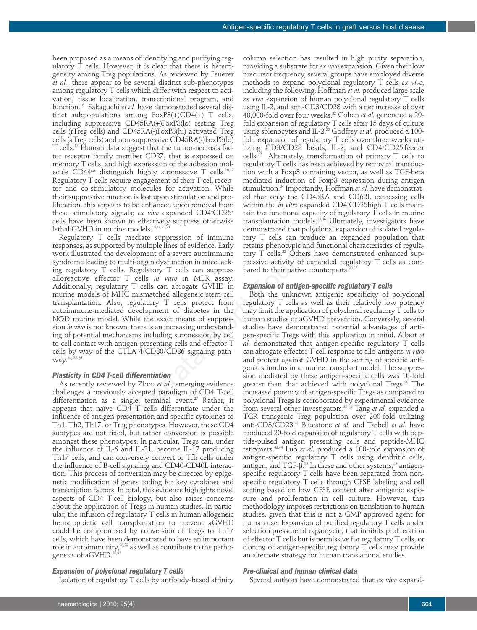been proposed as a means of identifying and purifying regulatory T cells. However, it is clear that there is heterogeneity among Treg populations. As reviewed by Feuerer *et al.*, there appear to be several distinct sub-phenotypes among regulatory T cells which differ with respect to activation, tissue localization, transcriptional program, and function.<sup>16</sup> Sakaguchi et al. have demonstrated several distinct subpopulations among  $FoxP3(+)CD4(+)$  T cells, including suppressive CD45RA(+)FoxP3(lo) resting Treg cells (rTreg cells) and CD45RA(-)FoxP3(hi) activated Treg cells (aTreg cells) and non-suppressive CD45RA(-)FoxP3(lo) T cells.17 Human data suggest that the tumor-necrosis factor receptor family member CD27, that is expressed on memory T cells, and high expression of the adhesion molecule  $CD44^{\text{act}}$  distinguish highly suppressive T cells.<sup>18,19</sup> Regulatory T cells require engagement of their T-cell receptor and co-stimulatory molecules for activation. While their suppressive function is lost upon stimulation and proliferation, this appears to be enhanced upon removal from these stimulatory signals; *ex vivo* expanded CD4+ CD25+ cells have been shown to effectively suppress otherwise lethal GVHD in murine models.<sup>13,14,20,21</sup>

Regulatory T cells mediate suppression of immune responses, as supported by multiple lines of evidence. Early work illustrated the development of a severe autoimmune syndrome leading to multi-organ dysfunction in mice lacking regulatory T cells. Regulatory T cells can suppress alloreactive effector T cells *in vitro* in MLR assay. Additionally, regulatory T cells can abrogate GVHD in murine models of MHC mismatched allogeneic stem cell transplantation. Also, regulatory T cells protect from autoimmune-mediated development of diabetes in the NOD murine model. While the exact means of suppression *in vivo* is not known, there is an increasing understanding of potential mechanisms including suppression by cell to cell contact with antigen-presenting cells and effector T cells by way of the CTLA-4/CD80/CD86 signaling pathway.14, 22-26

#### *Plasticity in CD4 T-cell differentiation*

As recently reviewed by Zhou *et al.*, emerging evidence challenges a previously accepted paradigm of CD4 T-cell differentiation as a single, terminal event.<sup>27</sup> Rather, it appears that naïve CD4 T cells differentiate under the influence of antigen presentation and specific cytokines to Th1, Th2, Th17, or Treg phenotypes. However, these CD4 subtypes are not fixed, but rather conversion is possible amongst these phenotypes. In particular, Tregs can, under the influence of IL-6 and IL-21, become IL-17 producing Th17 cells, and can conversely convert to Tfh cells under the influence of B-cell signaling and CD40-CD40L interaction. This process of conversion may be directed by epigenetic modification of genes coding for key cytokines and transcription factors. In total, this evidence highlights novel aspects of CD4 T-cell biology, but also raises concerns about the application of Tregs in human studies. In particular, the infusion of regulatory  $T$  cells in human allogeneic hematopoietic cell transplantation to prevent aGVHD could be compromised by conversion of Tregs to Th17 cells, which have been demonstrated to have an important role in autoimmunity, $^{28,29}$  as well as contribute to the pathogenesis of aGVHD.<sup>30,31</sup>

## *Expansion of polyclonal regulatory T cells*

Isolation of regulatory T cells by antibody-based affinity

column selection has resulted in high purity separation, providing a substrate for *ex vivo* expansion. Given their low precursor frequency, several groups have employed diverse methods to expand polyclonal regulatory T cells *ex vivo*, including the following: Hoffman *et al.* produced large scale *ex vivo* expansion of human polyclonal regulatory T cells using IL-2, and anti-CD3/CD28 with a net increase of over 40,000-fold over four weeks.32 Cohen *et al.* generated a 20 fold expansion of regulatory T cells after 15 days of culture using splenocytes and IL-2.<sup>33</sup> Godfrey *et al.* produced a 100fold expansion of regulatory T cells over three weeks utilizing CD3/CD28 beads, IL-2, and CD4+ CD25- feeder cells.<sup>22</sup> Alternately, transformation of primary  $T$  cells to regulatory T cells has been achieved by retroviral transduction with a Foxp3 containing vector, as well as TGF-beta mediated induction of Foxp3 expression during antigen stimulation.34 Importantly, Hoffman *et al.* have demonstrated that only the CD45RA and CD62L expressing cells within the *in vitro* expanded CD4+ CD25high T cells maintain the functional capacity of regulatory  $\check{T}$  cells in murine transplantation models.<sup>35,36</sup> Ultimately, investigators have demonstrated that polyclonal expansion of isolated regulatory T cells can produce an expanded population that retains phenotypic and functional characteristics of regulatory  $T$  cells.<sup>22</sup> Others have demonstrated enhanced suppressive activity of expanded regulatory T cells as compared to their native counterparts.<sup>20,37</sup>

#### *Expansion of antigen-specific regulatory T cells*

Both the unknown antigenic specificity of polyclonal regulatory T cells as well as their relatively low potency may limit the application of polyclonal regulatory T cells to human studies of aGVHD prevention. Conversely, several studies have demonstrated potential advantages of antigen-specific Tregs with this application in mind. Albert *et al.* demonstrated that antigen-specific regulatory T cells can abrogate effector T-cell response to allo-antigens *in vitro* and protect against GVHD in the setting of specific antigenic stimulus in a murine transplant model. The suppression mediated by these antigen-specific cells was 10-fold greater than that achieved with polyclonal Tregs.<sup>38</sup> The increased potency of antigen-specific Tregs as compared to polyclonal Tregs is corroborated by experimental evidence from several other investigators.39-42 Tang *et al.* expanded a TCR transgenic Treg population over 200-fold utilizing anti-CD3/CD28.41 Bluestone *et al.* and Tarbell *et al.* have produced 20-fold expansion of regulatory T cells with peptide-pulsed antigen presenting cells and peptide-MHC tetramers.43,44 Luo *et al.* produced a 100-fold expansion of antigen-specific regulatory T cells using dendritic cells, antigen, and TGF-β. $^{23}$  In these and other systems, $^{45}$  antigenspecific regulatory T cells have been separated from nonspecific regulatory T cells through CFSE labeling and cell sorting based on low CFSE content after antigenic exposure and proliferation in cell culture. However, this methodology imposes restrictions on translation to human studies, given that this is not a GMP approved agent for human use. Expansion of purified regulatory T cells under selection pressure of rapamycin, that inhibits proliferation of effector T cells but is permissive for regulatory T cells, or cloning of antigen-specific regulatory T cells may provide an alternate strategy for human translational studies. is to be enhanced upon renoval from<br>
mithin the *in vitro* expanded CD4°C<br>
ms to effectively suppress otherwise transplantation models.<sup>83,6</sup><sup>26</sup> Ultimat<br>
emodels.<sup>18,14,821</sup> compared CD4°C erguines the models.<br>
the model

#### *Pre-clinical and human clinical data*

Several authors have demonstrated that *ex vivo* expand-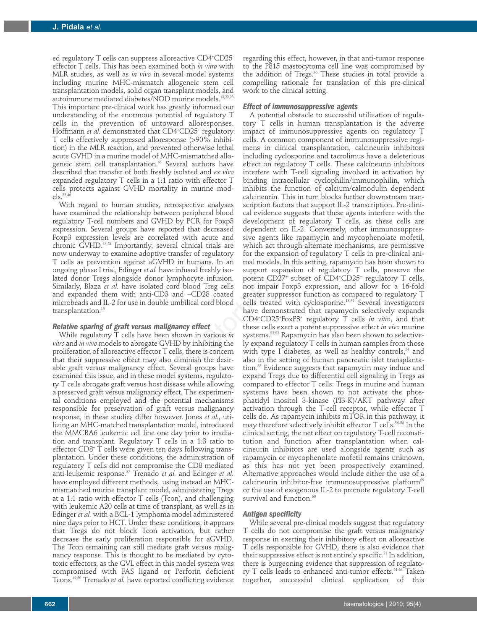ed regulatory T cells can suppress alloreactive CD4+ CD25 effector T cells. This has been examined both *in vitro* with MLR studies, as well as *in vivo* in several model systems including murine MHC-mismatch allogeneic stem cell transplantation models, solid organ transplant models, and autoimmune mediated diabetes/NOD murine models.13,22,23 This important pre-clinical work has greatly informed our understanding of the enormous potential of regulatory T cells in the prevention of untoward alloresponses. Hoffmann *et al.* demonstrated that CD4<sup>+</sup>CD25<sup>+</sup> regulatory T cells effectively suppressed alloresponse (>90% inhibition) in the MLR reaction, and prevented otherwise lethal acute GVHD in a murine model of MHC-mismatched allogeneic stem cell transplantation.<sup>46</sup> Several authors have described that transfer of both freshly isolated and *ex vivo* expanded regulatory T cells in a 1:1 ratio with effector T cells protects against GVHD mortality in murine mod $els.^{33,46}$ 

With regard to human studies, retrospective analyses have examined the relationship between peripheral blood regulatory T-cell numbers and GVHD by PCR for Foxp3 expression. Several groups have reported that decreased Foxp3 expression levels are correlated with acute and chronic GVHD.47,48 Importantly, several clinical trials are now underway to examine adoptive transfer of regulatory T cells as prevention against aGVHD in humans. In an ongoing phase I trial, Edinger *et al.* have infused freshly isolated donor Tregs alongside donor lymphocyte infusion. Similarly, Blaza *et al.* have isolated cord blood Treg cells and expanded them with anti-CD3 and –CD28 coated microbeads and IL-2 for use in double umbilical cord blood transplantation.15

#### *Relative sparing of graft versus malignancy effect*

While regulatory T cells have been shown in various *in vitro* and *in vivo* models to abrogate GVHD by inhibiting the proliferation of alloreactive effector T cells, there is concern that their suppressive effect may also diminish the desirable graft versus malignancy effect. Several groups have examined this issue, and in these model systems, regulatory T cells abrogate graft versus host disease while allowing a preserved graft versus malignancy effect. The experimental conditions employed and the potential mechanisms responsible for preservation of graft versus malignancy response, in these studies differ however. Jones *et al.*, utilizing an MHC-matched transplantation model, introduced the MMCBA6 leukemic cell line one day prior to irradiation and transplant. Regulatory T cells in a 1:3 ratio to effector CD8+ T cells were given ten days following transplantation. Under these conditions, the administration of regulatory T cells did not compromise the CD8 mediated anti-leukemic response.37 Trenado *et al.* and Edinger *et al.* have employed different methods, using instead an MHCmismatched murine transplant model, administering Tregs at a 1:1 ratio with effector  $T$  cells (Tcon), and challenging with leukemic A20 cells at time of transplant, as well as in Edinger *et al.* with a BCL-1 lymphoma model administered nine days prior to HCT. Under these conditions, it appears that Tregs do not block Tcon activation, but rather decrease the early proliferation responsible for aGVHD. The Tcon remaining can still mediate graft versus malignancy response. This is thought to be mediated by cytotoxic effectors, as the GVL effect in this model system was compromised with FAS ligand or Perforin deficient Tcons.49,50 Trenado *et al.* have reported conflicting evidence

regarding this effect, however, in that anti-tumor response to the P815 mastocytoma cell line was compromised by the addition of Tregs.<sup>50</sup> These studies in total provide a compelling rationale for translation of this pre-clinical work to the clinical setting.

## *Effect of immunosuppressive agents*

A potential obstacle to successful utilization of regulatory T cells in human transplantation is the adverse impact of immunosuppressive agents on regulatory T cells. A common component of immunosuppressive regimens in clinical transplantation, calcineurin inhibitors including cyclosporine and tacrolimus have a deleterious effect on regulatory T cells. These calcineurin inhibitors interfere with T-cell signaling involved in activation by binding intracellular cyclophilin/immunophilin, which inhibits the function of calcium/calmodulin dependent calcineurin. This in turn blocks further downstream transcription factors that support IL-2 transcription. Pre-clinical evidence suggests that these agents interfere with the development of regulatory T cells, as these cells are dependent on IL-2. Conversely, other immunosuppressive agents like rapamycin and mycophenolate mofetil, which act through alternate mechanisms, are permissive for the expansion of regulatory T cells in pre-clinical animal models. In this setting, rapamycin has been shown to support expansion of regulatory T cells, preserve the potent CD27+ subset of CD4+ CD25+ regulatory T cells, not impair Foxp3 expression, and allow for a 16-fold greater suppressor function as compared to regulatory T cells treated with cyclosporine.<sup>18,51</sup> Several investigators have demonstrated that rapamycin selectively expands CD4+ CD25+ FoxP3+ regulatory T cells *in vitro*, and that these cells exert a potent suppressive effect *in vivo* murine systems.52,53 Rapamycin has also been shown to selectively expand regulatory T cells in human samples from those with type I diabetes, as well as healthy controls, $54$  and also in the setting of human pancreatic islet transplantation.55 Evidence suggests that rapamycin may induce and expand Tregs due to differential cell signaling in Tregs as compared to effector T cells: Tregs in murine and human systems have been shown to not activate the phosphatidyl inositol 3-kinase (PI3-K)/AKT pathway after activation through the T-cell receptor, while effector T cells do. As rapamycin inhibits mTOR in this pathway, it may therefore selectively inhibit effector  $T$  cells.<sup>56-58</sup> In the clinical setting, the net effect on regulatory T-cell reconstitution and function after transplantation when calcineurin inhibitors are used alongside agents such as rapamycin or mycophenolate mofetil remains unknown, as this has not yet been prospectively examined. Alternative approaches would include either the use of a calcineurin inhibitor-free immunosuppressive platform<sup>59</sup> or the use of exogenous IL-2 to promote regulatory T-cell survival and function.<sup>60</sup> man studies, retrospective analyses scription factors that support IL-2<br>lationship between peripheral blood cal evidence suggests that these age<br>bers and GVHD by PCR for Foxp8 development of regulatory T ce<br>coups have rep

## *Antigen specificity*

While several pre-clinical models suggest that regulatory T cells do not compromise the graft versus malignancy response in exerting their inhibitory effect on alloreactive T cells responsible for GVHD, there is also evidence that their suppressive effect is not entirely specific.<sup>21</sup> In addition, there is burgeoning evidence that suppression of regulatory T cells leads to enhanced anti-tumor effects. $61-67$  Taken together, successful clinical application of this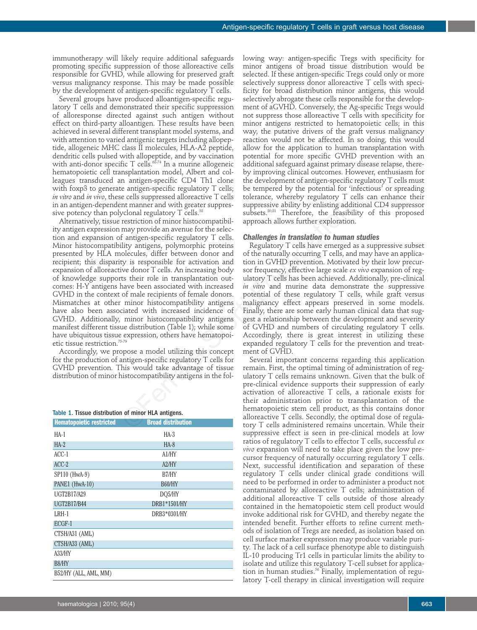immunotherapy will likely require additional safeguards promoting specific suppression of those alloreactive cells responsible for GVHD, while allowing for preserved graft versus malignancy response. This may be made possible by the development of antigen-specific regulatory T cells.

Several groups have produced alloantigen-specific regulatory T cells and demonstrated their specific suppression of alloresponse directed against such antigen without effect on third-party alloantigen. These results have been achieved in several different transplant model systems, and with attention to varied antigenic targets including allopeptide, allogeneic MHC class II molecules, HLA-A2 peptide, dendritic cells pulsed with allopeptide, and by vaccination with anti-donor specific T cells. $^{68\text{-}74}$  In a murine allogeneic hematopoietic cell transplantation model, Albert and colleagues transduced an antigen-specific CD4 Th1 clone with foxp3 to generate antigen-specific regulatory T cells; *in vitro* and *in vivo*, these cells suppressed alloreactive T cells in an antigen-dependent manner and with greater suppressive potency than polyclonal regulatory  $T$  cells.<sup>38</sup>

Alternatively, tissue restriction of minor histocompatibility antigen expression may provide an avenue for the selection and expansion of antigen-specific regulatory T cells. Minor histocompatibility antigens, polymorphic proteins presented by HLA molecules, differ between donor and recipient; this disparity is responsible for activation and expansion of alloreactive donor T cells. An increasing body of knowledge supports their role in transplantation outcomes: H-Y antigens have been associated with increased GVHD in the context of male recipients of female donors. Mismatches at other minor histocompatibility antigens have also been associated with increased incidence of GVHD. Additionally, minor histocompatibility antigens manifest different tissue distribution (Table 1); while some have ubiquitous tissue expression, others have hematopoietic tissue restriction.<sup>75-79</sup> The manner and with greater suppressive ability by enlisting add<br>
ycyclonal regulatory T cells.<sup>38</sup> in the stortion of minor histocompatibil-<br>
approach allows further exploration<br>
may provide an avenue for the selec-<br>
rest

Accordingly, we propose a model utilizing this concept for the production of antigen-specific regulatory T cells for GVHD prevention. This would take advantage of tissue distribution of minor histocompatibility antigens in the fol-

Table 1. Tissue distribution of minor HLA antigens.

| <b>Hematopoietic restricted</b> | <b>Broad distribution</b> |
|---------------------------------|---------------------------|
| $HA-1$                          | $HA-3$                    |
| $HA-2$                          | $HA-8$                    |
| $ACC-1$                         | A1/HY                     |
| $ACC-2$                         | A2/HY                     |
| SP110 (HwA-9)                   | B7/HY                     |
| PANE1 (HwA-10)                  | B60/HY                    |
| <b>UGT2B17/A29</b>              | DO5/HY                    |
| <b>UGT2B17/B44</b>              | DRB1*1501/HY              |
| LRH-1                           | DRB3*0301/HY              |
| ECGF-1                          |                           |
| CTSH/A31 (AML)                  |                           |
| CTSH/A33 (AML)                  |                           |
| A33/HY                          |                           |
| B8/HY                           |                           |
| B52/HY (ALL, AML, MM)           |                           |

lowing way: antigen-specific Tregs with specificity for minor antigens of broad tissue distribution would be selected. If these antigen-specific Tregs could only or more selectively suppress donor alloreactive T cells with specificity for broad distribution minor antigens, this would selectively abrogate these cells responsible for the development of aGVHD. Conversely, the Ag-specific Tregs would not suppress those alloreactive T cells with specificity for minor antigens restricted to hematopoietic cells; in this way, the putative drivers of the graft versus malignancy reaction would not be affected. In so doing, this would allow for the application to human transplantation with potential for more specific GVHD prevention with an additional safeguard against primary disease relapse, thereby improving clinical outcomes. However, enthusiasm for the development of antigen-specific regulatory T cells must be tempered by the potential for 'infectious' or spreading tolerance, whereby regulatory T cells can enhance their suppressive ability by enlisting additional CD4 suppressor subsets.<sup>80,81</sup> Therefore, the feasibility of this proposed approach allows further exploration.

## *Challenges in translation to human studies*

Regulatory T cells have emerged as a suppressive subset of the naturally occurring T cells, and may have an application in GVHD prevention. Motivated by their low precursor frequency, effective large scale *ex vivo* expansion of regulatory T cells has been achieved. Additionally, pre-clinical *in vitro* and murine data demonstrate the suppressive potential of these regulatory T cells, while graft versus malignancy effect appears preserved in some models. Finally, there are some early human clinical data that suggest a relationship between the development and severity of GVHD and numbers of circulating regulatory T cells. Accordingly, there is great interest in utilizing these expanded regulatory T cells for the prevention and treatment of GVHD.

Several important concerns regarding this application remain. First, the optimal timing of administration of regulatory T cells remains unknown. Given that the bulk of pre-clinical evidence supports their suppression of early activation of alloreactive T cells, a rationale exists for their administration prior to transplantation of the hematopoietic stem cell product, as this contains donor alloreactive T cells. Secondly, the optimal dose of regulatory T cells administered remains uncertain. While their suppressive effect is seen in pre-clinical models at low ratios of regulatory T cells to effector T cells, successful *ex vivo* expansion will need to take place given the low precursor frequency of naturally occurring regulatory T cells. Next, successful identification and separation of these regulatory T cells under clinical grade conditions will need to be performed in order to administer a product not contaminated by alloreactive T cells; administration of additional alloreactive T cells outside of those already contained in the hematopoietic stem cell product would invoke additional risk for GVHD, and thereby negate the intended benefit. Further efforts to refine current methods of isolation of Tregs are needed, as isolation based on cell surface marker expression may produce variable purity. The lack of a cell surface phenotype able to distinguish IL-10 producing Tr1 cells in particular limits the ability to isolate and utilize this regulatory T-cell subset for application in human studies.<sup>56</sup> Finally, implementation of regulatory T-cell therapy in clinical investigation will require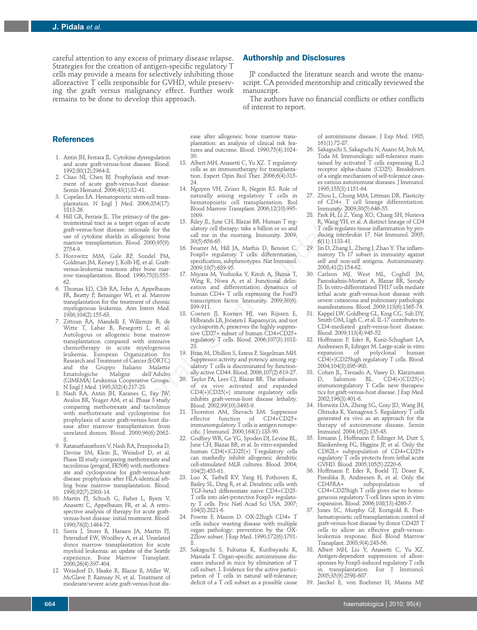careful attention to any excess of primary disease relapse. Strategies for the creation of antigen-specific regulatory T cells may provide a means for selectively inhibiting those alloreactive T cells responsible for GVHD, while preserving the graft versus malignancy effect. Further work remains to be done to develop this approach.

## **Authorship and Disclosures**

JP conducted the literature search and wrote the manuscript. CA provided mentorship and critically reviewed the manuscript.

The authors have no financial conflicts or other conflicts of interest to report.

## **References**

- 1. Antin JH, Ferrara JL. Cytokine dysregulation and acute graft-versus-host disease. Blood. 1992;80(12):2964-8.
- 2. Chao NJ, Chen BJ. Prophylaxis and treatment of acute graft-versus-host disease. Semin Hematol. 2006;43(1):32-41.
- 3. Copelan EA. Hematopoietic stem-cell transplantation. N Engl J Med. 2006;354(17): 1813-26.
- 4. Hill GR, Ferrara JL. The primacy of the gastrointestinal tract as a target organ of acute graft-versus-host disease: rationale for the use of cytokine shields in allogeneic bone marrow transplantation. Blood. 2000;95(9): 2754-9.
- 5. Horowitz MM, Gale RP, Sondel PM, Goldman JM, Kersey J, Kolb HJ, et al. Graftversus-leukemia reactions after bone marrow transplantation. Blood. 1990;75(3):555- 62.
- 6. Thomas ED, Clift RA, Fefer A, Appelbaum FR, Beatty P, Bensinger WI, et al. Marrow transplantation for the treatment of chronic myelogenous leukemia. Ann Intern Med. 1986;104(2):155-63.
- 7. Zittoun RA, Mandelli F, Willemze R, de Witte T, Labar B, Resegotti L, et al. Autologous or allogeneic bone marrow transplantation compared with intensive chemotherapy in acute myelogenous leukemia. European Organization for Research and Treatment of Cancer (EORTC) and the Gruppo Italiano Malattie<br>Ematologiche Maligne dell'Adulto Ematologiche (GIMEMA) Leukemia Cooperative Groups. N Engl J Med. 1995;332(4):217-23.
- 8. Nash RA, Antin JH, Karanes C, Fay JW, Avalos BR, Yeager AM, et al. Phase 3 study comparing methotrexate and tacrolimus with methotrexate and cyclosporine for prophylaxis of acute graft-versus-host disease after marrow transplantation from unrelated donors. Blood. 2000;96(6):2062- 8.
- 9. Ratanatharathorn V, Nash RA, Przepiorka D, Devine SM, Klein JL, Weisdorf D, et al. Phase III study comparing methotrexate and tacrolimus (prograf, FK506) with methotrexate and cyclosporine for graft-versus-host disease prophylaxis after HLA-identical sibling bone marrow transplantation. Blood. 1998;92(7):2303-14.
- 10. Martin PJ, Schoch G, Fisher L, Byers V, Anasetti C, Appelbaum FR, et al. A retrospective analysis of therapy for acute graftversus-host disease: initial treatment. Blood. 1990;76(8):1464-72.
- 11. Sierra J, Storer B, Hansen JA, Martin PJ, Petersdorf EW, Woolfrey A, et al. Unrelated donor marrow transplantation for acute myeloid leukemia: an update of the Seattle experience. Bone Marrow Transplant. 2000;26(4):397-404.
- 12. Weisdorf D, Haake R, Blazar B, Miller W, McGlave P, Ramsay N, et al. Treatment of moderate/severe acute graft-versus-host dis-

ease after allogeneic bone marrow transplantation: an analysis of clinical risk features and outcome. Blood. 1990;75(4):1024- 30.

- 13. Albert MH, Anasetti C, Yu XZ. T regulatory cells as an immunotherapy for transplantation. Expert Opin Biol Ther. 2006;6(4):315- 24.
- 14. Nguyen VH, Zeiser R, Negrin RS. Role of naturally arising regulatory T cells in hematopoietic cell transplantation. Biol Blood Marrow Transplant. 2006;12(10):995- 1009.
- 15. Riley JL, June CH, Blazar BR. Human T regulatory cell therapy: take a billion or so and call me in the morning. Immunity. 2009; 30(5):656-65.
- 16. Feuerer M, Hill JA, Mathis D, Benoist C. Foxp3+ regulatory T cells: differentiation, specification, subphenotypes. Nat Immunol. 2009;10(7):689-95.
- 17. Miyara M, Yoshioka Y, Kitoh A, Shima T, Wing K, Niwa A, et al. Functional delineation and differentiation dynamics of human CD4+ T cells expressing the FoxP3 transcription factor. Immunity. 2009;30(6): 899-911. Med. 2006;354(1):<br>
Med. 2006;354(1):<br>
Photo Marrow Transplant. 2006;12(10):995-<br>
exerted and photo Marrow Transplant. 2006;12(10):995-<br>
exerted all meins of the storting in the morning. 200<br>
arget organ of acute 15. Riely
	- 18. Coenen JJ, Koenen HJ, van Rijssen E, Hilbrands LB, Joosten I. Rapamycin, and not cyclosporin A, preserves the highly suppressive CD27+ subset of human CD4+CD25+ regulatory T cells. Blood. 2006;107(3):1018- 23.
	- 19. Firan M, Dhillon S, Estess P, Siegelman MH. Suppressor activity and potency among regulatory T cells is discriminated by functionally active CD44. Blood. 2006;107(2):619-27.
	- 20. Taylor PA, Lees CJ, Blazar BR. The infusion of ex vivo activated and expanded CD4(+)CD25(+) immune regulatory cells inhibits graft-versus-host disease lethality. Blood. 2002;99(10):3493-9.
	- 21. Thornton AM, Shevach EM. Suppressor effector function of CD4+CD25+ immunoregulatory T cells is antigen nonspecific. J Immunol. 2000;164(1):183-90.
	- 22. Godfrey WR, Ge YG, Spoden DJ, Levine BL, June CH, Blazar BR, et al. In vitro-expanded human CD4(+)CD25(+) T-regulatory cells can markedly inhibit allogeneic dendritic cell-stimulated MLR cultures. Blood. 2004; 104(2):453-61.
	- 23. Luo X, Tarbell KV, Yang H, Pothoven K, Bailey SL, Ding R, et al. Dendritic cells with TGF-beta1 differentiate naive CD4+CD25- T cells into islet-protective Foxp3+ regulatory T cells. Proc Natl Acad Sci USA. 2007; 104(8):2821-6.
	- 24. Powrie F, Mason D. OX-22high CD4+ T cells induce wasting disease with multiple organ pathology: prevention by the OX-22low subset. J Exp Med. 1990;172(6):1701- 8.
	- 25. Sakaguchi S, Fukuma K, Kuribayashi K, Masuda T. Organ-specific autoimmune diseases induced in mice by elimination of T cell subset. I. Evidence for the active participation of T cells in natural self-tolerance; deficit of a T cell subset as a possible cause

of autoimmune disease. J Exp Med. 1985; 161(1):72-87.

- 26. Sakaguchi S, Sakaguchi N, Asano M, Itoh M, Toda M. Immunologic self-tolerance maintained by activated T cells expressing IL-2 receptor alpha-chains (CD25). Breakdown of a single mechanism of self-tolerance causes various autoimmune diseases. J Immunol. 1995;155(3):1151-64.
- 27. Zhou L, Chong MM, Littman DR. Plasticity of CD4+ T cell lineage differentiation. Immunity. 2009;30(5):646-55.
- 28. Park H, Li Z, Yang XO, Chang SH, Nurieva R, Wang YH, et al. A distinct lineage of CD4 T cells regulates tissue inflammation by producing interleukin 17. Nat Immunol. 2005; 6(11):1133-41.
- 29. Jin D, Zhang L, Zheng J, Zhao Y. The inflammatory Th 17 subset in immunity against self and non-self antigens. Autoimmunity. 2008;41(2):154-62.
- 30. Carlson MJ, West ML, Coghill JM, Panoskaltsis-Mortari A, Blazar BR, Serody JS. In vitro-differentiated TH17 cells mediate lethal acute graft-versus-host disease with severe cutaneous and pulmonary pathologic manifestations. Blood. 2009;113(6):1365-74.
- 31. Kappel LW, Goldberg GL, King CG, Suh DY, Smith OM, Ligh C, et al. IL-17 contributes to CD4-mediated graft-versus-host disease. Blood. 2009;113(4):945-52.
- 32. Hoffmann P, Eder R, Kunz-Schughart LA, Andreesen R, Edinger M. Large-scale in vitro<br>expansion of polyclonal human polyclonal human CD4(+)CD25high regulatory T cells. Blood. 2004;104(3):895-903.
- 33. Cohen JL, Trenado A, Vasey D, Klatzmann<br>D, Salomon BL. CD4(+)CD25(+) D, Salomon BL. immunoregulatory T Cells: new therapeutics for graft-versus-host disease. J Exp Med. 2002;196(3):401-6.
- 34. Horwitz DA, Zheng SG, Gray JD, Wang JH, Ohtsuka K, Yamagiwa S. Regulatory T cells generated ex vivo as an approach for the therapy of autoimmune disease. Semin Immunol. 2004;16(2):135-43.
- 35. Ermann J, Hoffmann P, Edinger M, Dutt S, Blankenberg FG, Higgins JP, et al. Only the CD62L+ subpopulation of CD4+CD25+ regulatory T cells protects from lethal acute GVHD. Blood. 2005;105(5):2220-6.
- 36. Hoffmann P, Eder R, Boeld TJ, Doser K, Piseshka B, Andreesen R, et al. Only the CD45RA+ subpopulation of CD4+CD25high T cells gives rise to homogeneous regulatory T-cell lines upon in vitro expansion. Blood. 2006;108(13):4260-7.
- Jones SC, Murphy GF, Korngold R. Posthematopoietic cell transplantation control of graft-versus-host disease by donor CD425 T cells to allow an effective graft-versusleukemia response. Biol Blood Marrow Transplant. 2003;9(4):243-56.
- Albert MH, Liu Y, Anasetti C, Yu XZ. Antigen-dependent suppression of alloresponses by Foxp3-induced regulatory T cells in transplantation. Eur J Immunol. 2005;35(9):2598-607.
- 39. Jaeckel E, von Boehmer H, Manns MP.